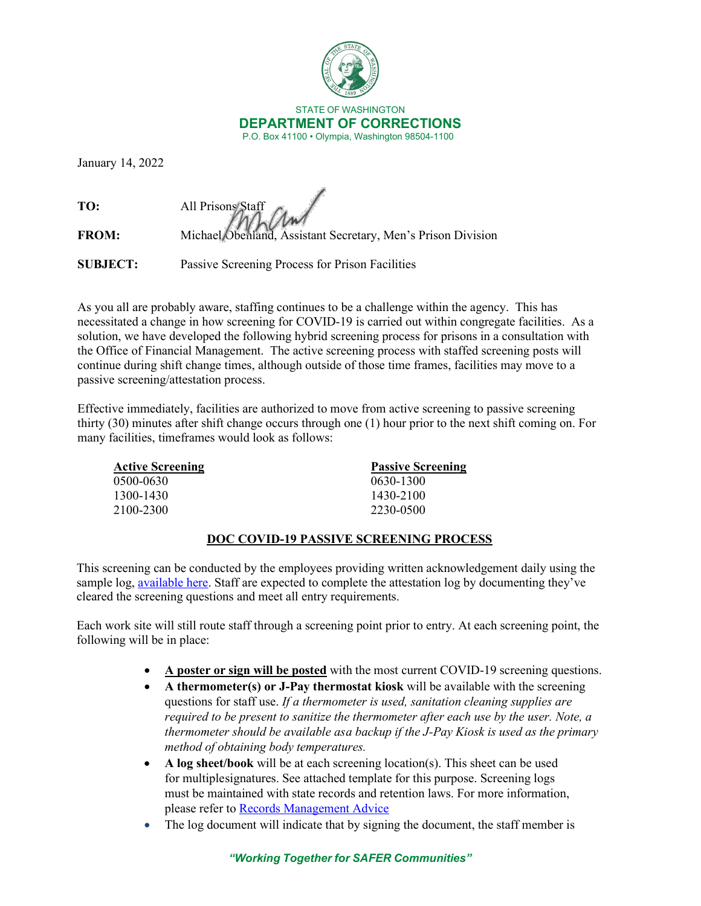

January 14, 2022

**TO:** All Prisons Staff **FROM:** Michael Obenland, Assistant Secretary, Men's Prison Division

**SUBJECT:** Passive Screening Process for Prison Facilities

As you all are probably aware, staffing continues to be a challenge within the agency. This has necessitated a change in how screening for COVID-19 is carried out within congregate facilities. As a solution, we have developed the following hybrid screening process for prisons in a consultation with the Office of Financial Management. The active screening process with staffed screening posts will continue during shift change times, although outside of those time frames, facilities may move to a passive screening/attestation process.

Effective immediately, facilities are authorized to move from active screening to passive screening thirty (30) minutes after shift change occurs through one (1) hour prior to the next shift coming on. For many facilities, timeframes would look as follows:

| <b>Active Screening</b> | <b>Passive Screening</b> |
|-------------------------|--------------------------|
| 0500-0630               | 0630-1300                |
| 1300-1430               | 1430-2100                |
| 2100-2300               | 2230-0500                |

## **DOC COVID-19 PASSIVE SCREENING PROCESS**

This screening can be conducted by the employees providing written acknowledgement daily using the sample log, [available here.](https://gcc02.safelinks.protection.outlook.com/?url=https%3A%2F%2Fdoc.wa.gov%2Fcorrections%2Fcovid-19%2Fdocs%2Factive-screening-attestation-log.pdf&data=04%7C01%7CDOCJointInformationCenter%40DOC1.WA.GOV%7Cfd509c6e3a9d4c62386008d9d6eda9ea%7C11d0e217264e400a8ba057dcc127d72d%7C0%7C0%7C637777138506881578%7CUnknown%7CTWFpbGZsb3d8eyJWIjoiMC4wLjAwMDAiLCJQIjoiV2luMzIiLCJBTiI6Ik1haWwiLCJXVCI6Mn0%3D%7C3000&sdata=qrmnB%2BTcfCS0%2FnJo6sHxzKx8I3xrK52Sm58Jq355%2B3M%3D&reserved=0) Staff are expected to complete the attestation log by documenting they've cleared the screening questions and meet all entry requirements.

Each work site will still route staff through a screening point prior to entry. At each screening point, the following will be in place:

- **A poster or sign will be posted** with the most current COVID-19 screening questions.
- **A thermometer(s) or J-Pay thermostat kiosk** will be available with the screening questions for staff use. *If a thermometer is used, sanitation cleaning supplies are required to be present to sanitize the thermometer after each use by the user. Note, a thermometer should be available as a backup if the J-Pay Kiosk is used as the primary method of obtaining body temperatures.*
- **A log sheet/book** will be at each screening location(s). This sheet can be used for multiplesignatures. See attached template for this purpose. Screening logs must be maintained with state records and retention laws. For more information, please refer to Records Management Advice
- The log document will indicate that by signing the document, the staff member is

## *"Working Together for SAFER Communities"*